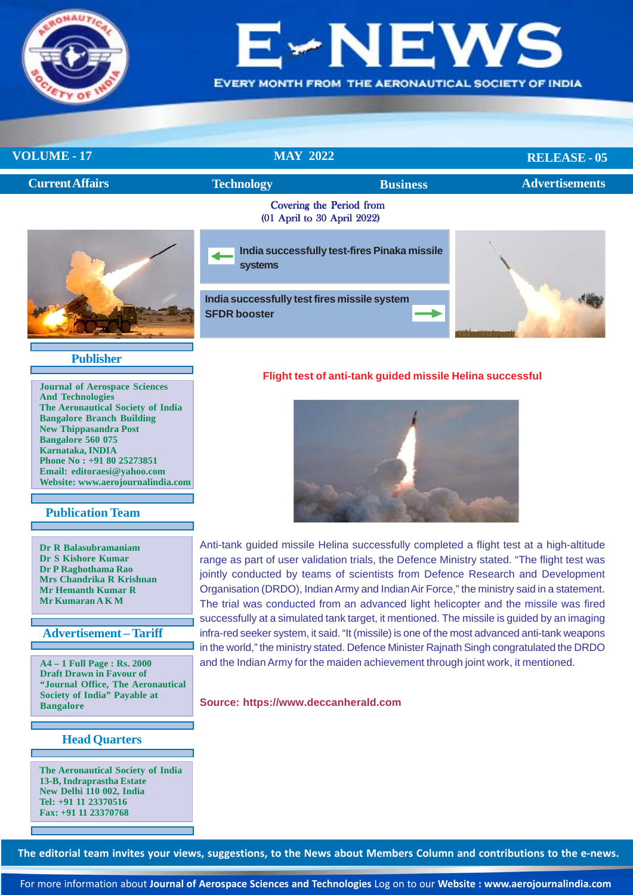

# H

EVERY MONTH FROM THE AERONAUTICAL SOCIETY OF INDIA

**RELEASE - 05**

# **VOLUME - 17** MAY 2022

|                        |                                                                     |                                                         | $\frac{1}{2}$         |  |
|------------------------|---------------------------------------------------------------------|---------------------------------------------------------|-----------------------|--|
| <b>Current Affairs</b> | <b>Technology</b>                                                   | <b>Business</b>                                         | <b>Advertisements</b> |  |
|                        |                                                                     | Covering the Period from<br>(01 April to 30 April 2022) |                       |  |
|                        | systems                                                             | India successfully test-fires Pinaka missile            |                       |  |
|                        | India successfully test fires missile system<br><b>SFDR booster</b> |                                                         |                       |  |

### **Publisher**

**Journal of Aerospace Sciences And Technologies The Aeronautical Society of India Bangalore Branch Building New Thippasandra Post Bangalore 560 075 Karnataka, INDIA Phone No : +91 80 25273851 Email: editoraesi@yahoo.com Website: www.aerojournalindia.com**

### **Publication Team**

**Dr R Balasubramaniam Dr S Kishore Kumar Dr P Raghothama Rao Mrs Chandrika R Krishnan Mr Hemanth Kumar R Mr Kumaran A K M**

### **Advertisement – Tariff**

**A4 – 1 Full Page : Rs. 2000 Draft Drawn in Favour of "Journal Office, The Aeronautical Society of India" Payable at Bangalore**

# **Head Quarters**

**The Aeronautical Society of India 13-B, Indraprastha Estate New Delhi 110 002, India Tel: +91 11 23370516 Fax: +91 11 23370768**

### **Flight test of anti-tank guided missile Helina successful**



Anti-tank guided missile Helina successfully completed a flight test at a high-altitude range as part of user validation trials, the Defence Ministry stated. "The flight test was jointly conducted by teams of scientists from Defence Research and Development Organisation (DRDO), Indian Army and Indian Air Force," the ministry said in a statement. The trial was conducted from an advanced light helicopter and the missile was fired successfully at a simulated tank target, it mentioned. The missile is guided by an imaging infra-red seeker system, it said. "It (missile) is one of the most advanced anti-tank weapons in the world," the ministry stated. Defence Minister Rajnath Singh congratulated the DRDO and the Indian Army for the maiden achievement through joint work, it mentioned.

#### **Source: https://www.deccanherald.com**

**The editorial team invites your views, suggestions, to the News about Members Column and contributions to the e-news.**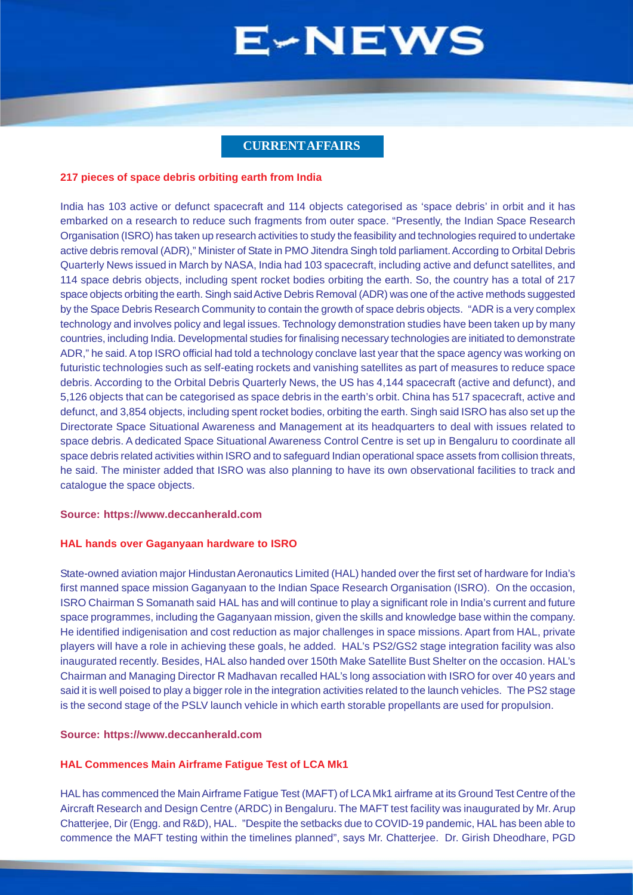### **CURRENT AFFAIRS**

#### <span id="page-1-0"></span>**217 pieces of space debris orbiting earth from India**

India has 103 active or defunct spacecraft and 114 objects categorised as 'space debris' in orbit and it has embarked on a research to reduce such fragments from outer space. "Presently, the Indian Space Research Organisation (ISRO) has taken up research activities to study the feasibility and technologies required to undertake active debris removal (ADR)," Minister of State in PMO Jitendra Singh told parliament. According to Orbital Debris Quarterly News issued in March by NASA, India had 103 spacecraft, including active and defunct satellites, and 114 space debris objects, including spent rocket bodies orbiting the earth. So, the country has a total of 217 space objects orbiting the earth. Singh said Active Debris Removal (ADR) was one of the active methods suggested by the Space Debris Research Community to contain the growth of space debris objects. "ADR is a very complex technology and involves policy and legal issues. Technology demonstration studies have been taken up by many countries, including India. Developmental studies for finalising necessary technologies are initiated to demonstrate ADR," he said. A top ISRO official had told a technology conclave last year that the space agency was working on futuristic technologies such as self-eating rockets and vanishing satellites as part of measures to reduce space debris. According to the Orbital Debris Quarterly News, the US has 4,144 spacecraft (active and defunct), and 5,126 objects that can be categorised as space debris in the earth's orbit. China has 517 spacecraft, active and defunct, and 3,854 objects, including spent rocket bodies, orbiting the earth. Singh said ISRO has also set up the Directorate Space Situational Awareness and Management at its headquarters to deal with issues related to space debris. A dedicated Space Situational Awareness Control Centre is set up in Bengaluru to coordinate all space debris related activities within ISRO and to safeguard Indian operational space assets from collision threats, he said. The minister added that ISRO was also planning to have its own observational facilities to track and catalogue the space objects.

#### **Source: https://www.deccanherald.com**

#### **HAL hands over Gaganyaan hardware to ISRO**

State-owned aviation major Hindustan Aeronautics Limited (HAL) handed over the first set of hardware for India's first manned space mission Gaganyaan to the Indian Space Research Organisation (ISRO). On the occasion, ISRO Chairman S Somanath said HAL has and will continue to play a significant role in India's current and future space programmes, including the Gaganyaan mission, given the skills and knowledge base within the company. He identified indigenisation and cost reduction as major challenges in space missions. Apart from HAL, private players will have a role in achieving these goals, he added. HAL's PS2/GS2 stage integration facility was also inaugurated recently. Besides, HAL also handed over 150th Make Satellite Bust Shelter on the occasion. HAL's Chairman and Managing Director R Madhavan recalled HAL's long association with ISRO for over 40 years and said it is well poised to play a bigger role in the integration activities related to the launch vehicles. The PS2 stage is the second stage of the PSLV launch vehicle in which earth storable propellants are used for propulsion.

#### **Source: https://www.deccanherald.com**

#### **HAL Commences Main Airframe Fatigue Test of LCA Mk1**

HAL has commenced the Main Airframe Fatigue Test (MAFT) of LCA Mk1 airframe at its Ground Test Centre of the Aircraft Research and Design Centre (ARDC) in Bengaluru. The MAFT test facility was inaugurated by Mr. Arup Chatterjee, Dir (Engg. and R&D), HAL. "Despite the setbacks due to COVID-19 pandemic, HAL has been able to commence the MAFT testing within the timelines planned", says Mr. Chatterjee. Dr. Girish Dheodhare, PGD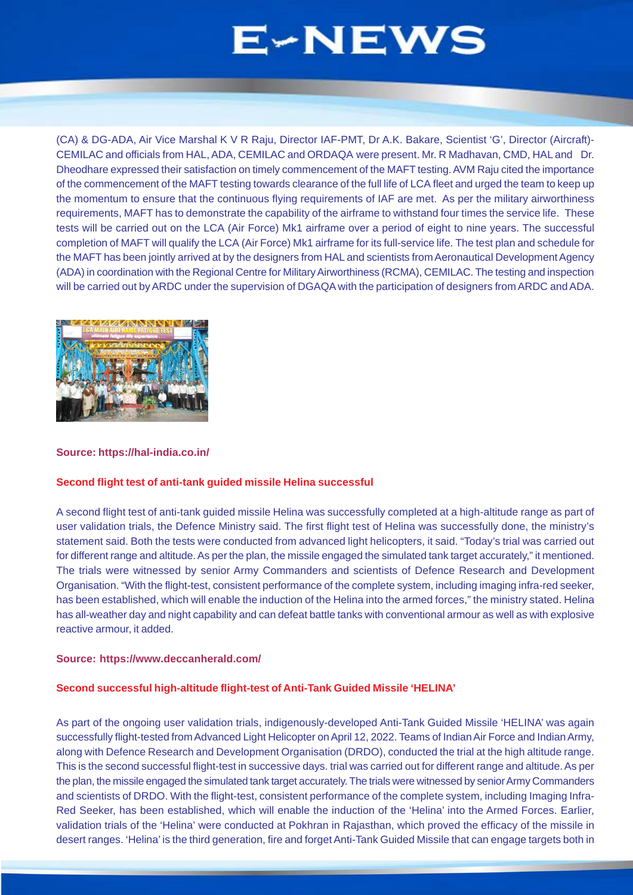(CA) & DG-ADA, Air Vice Marshal K V R Raju, Director IAF-PMT, Dr A.K. Bakare, Scientist 'G', Director (Aircraft)- CEMILAC and officials from HAL, ADA, CEMILAC and ORDAQA were present. Mr. R Madhavan, CMD, HAL and Dr. Dheodhare expressed their satisfaction on timely commencement of the MAFT testing. AVM Raju cited the importance of the commencement of the MAFT testing towards clearance of the full life of LCA fleet and urged the team to keep up the momentum to ensure that the continuous flying requirements of IAF are met. As per the military airworthiness requirements, MAFT has to demonstrate the capability of the airframe to withstand four times the service life. These tests will be carried out on the LCA (Air Force) Mk1 airframe over a period of eight to nine years. The successful completion of MAFT will qualify the LCA (Air Force) Mk1 airframe for its full-service life. The test plan and schedule for the MAFT has been jointly arrived at by the designers from HAL and scientists from Aeronautical Development Agency (ADA) in coordination with the Regional Centre for Military Airworthiness (RCMA), CEMILAC. The testing and inspection will be carried out by ARDC under the supervision of DGAQA with the participation of designers from ARDC and ADA.



#### **Source: https://hal-india.co.in/**

### **Second flight test of anti-tank guided missile Helina successful**

A second flight test of anti-tank guided missile Helina was successfully completed at a high-altitude range as part of user validation trials, the Defence Ministry said. The first flight test of Helina was successfully done, the ministry's statement said. Both the tests were conducted from advanced light helicopters, it said. "Today's trial was carried out for different range and altitude. As per the plan, the missile engaged the simulated tank target accurately," it mentioned. The trials were witnessed by senior Army Commanders and scientists of Defence Research and Development Organisation. "With the flight-test, consistent performance of the complete system, including imaging infra-red seeker, has been established, which will enable the induction of the Helina into the armed forces," the ministry stated. Helina has all-weather day and night capability and can defeat battle tanks with conventional armour as well as with explosive reactive armour, it added.

#### **Source: https://www.deccanherald.com/**

#### **Second successful high-altitude flight-test of Anti-Tank Guided Missile 'HELINA'**

As part of the ongoing user validation trials, indigenously-developed Anti-Tank Guided Missile 'HELINA' was again successfully flight-tested from Advanced Light Helicopter on April 12, 2022. Teams of Indian Air Force and Indian Army, along with Defence Research and Development Organisation (DRDO), conducted the trial at the high altitude range. This is the second successful flight-test in successive days. trial was carried out for different range and altitude. As per the plan, the missile engaged the simulated tank target accurately. The trials were witnessed by senior Army Commanders and scientists of DRDO. With the flight-test, consistent performance of the complete system, including Imaging Infra-Red Seeker, has been established, which will enable the induction of the 'Helina' into the Armed Forces. Earlier, validation trials of the 'Helina' were conducted at Pokhran in Rajasthan, which proved the efficacy of the missile in desert ranges. 'Helina' is the third generation, fire and forget Anti-Tank Guided Missile that can engage targets both in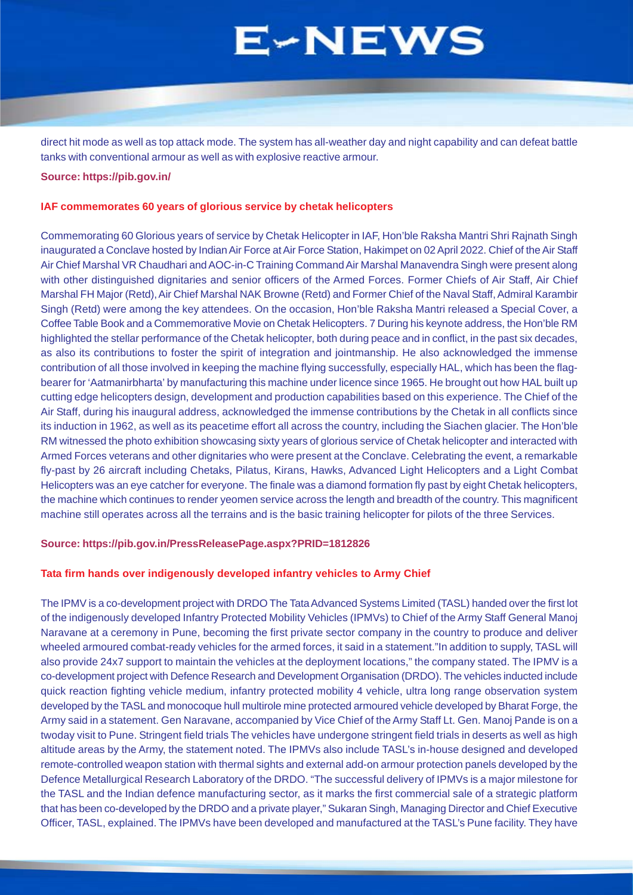direct hit mode as well as top attack mode. The system has all-weather day and night capability and can defeat battle tanks with conventional armour as well as with explosive reactive armour.

#### **Source: https://pib.gov.in/**

#### **IAF commemorates 60 years of glorious service by chetak helicopters**

Commemorating 60 Glorious years of service by Chetak Helicopter in IAF, Hon'ble Raksha Mantri Shri Rajnath Singh inaugurated a Conclave hosted by Indian Air Force at Air Force Station, Hakimpet on 02 April 2022. Chief of the Air Staff Air Chief Marshal VR Chaudhari and AOC-in-C Training Command Air Marshal Manavendra Singh were present along with other distinguished dignitaries and senior officers of the Armed Forces. Former Chiefs of Air Staff, Air Chief Marshal FH Major (Retd), Air Chief Marshal NAK Browne (Retd) and Former Chief of the Naval Staff, Admiral Karambir Singh (Retd) were among the key attendees. On the occasion, Hon'ble Raksha Mantri released a Special Cover, a Coffee Table Book and a Commemorative Movie on Chetak Helicopters. 7 During his keynote address, the Hon'ble RM highlighted the stellar performance of the Chetak helicopter, both during peace and in conflict, in the past six decades, as also its contributions to foster the spirit of integration and jointmanship. He also acknowledged the immense contribution of all those involved in keeping the machine flying successfully, especially HAL, which has been the flagbearer for 'Aatmanirbharta' by manufacturing this machine under licence since 1965. He brought out how HAL built up cutting edge helicopters design, development and production capabilities based on this experience. The Chief of the Air Staff, during his inaugural address, acknowledged the immense contributions by the Chetak in all conflicts since its induction in 1962, as well as its peacetime effort all across the country, including the Siachen glacier. The Hon'ble RM witnessed the photo exhibition showcasing sixty years of glorious service of Chetak helicopter and interacted with Armed Forces veterans and other dignitaries who were present at the Conclave. Celebrating the event, a remarkable fly-past by 26 aircraft including Chetaks, Pilatus, Kirans, Hawks, Advanced Light Helicopters and a Light Combat Helicopters was an eye catcher for everyone. The finale was a diamond formation fly past by eight Chetak helicopters, the machine which continues to render yeomen service across the length and breadth of the country. This magnificent machine still operates across all the terrains and is the basic training helicopter for pilots of the three Services.

#### **Source: https://pib.gov.in/PressReleasePage.aspx?PRID=1812826**

#### **Tata firm hands over indigenously developed infantry vehicles to Army Chief**

The IPMV is a co-development project with DRDO The Tata Advanced Systems Limited (TASL) handed over the first lot of the indigenously developed Infantry Protected Mobility Vehicles (IPMVs) to Chief of the Army Staff General Manoj Naravane at a ceremony in Pune, becoming the first private sector company in the country to produce and deliver wheeled armoured combat-ready vehicles for the armed forces, it said in a statement."In addition to supply, TASL will also provide 24x7 support to maintain the vehicles at the deployment locations," the company stated. The IPMV is a co-development project with Defence Research and Development Organisation (DRDO). The vehicles inducted include quick reaction fighting vehicle medium, infantry protected mobility 4 vehicle, ultra long range observation system developed by the TASL and monocoque hull multirole mine protected armoured vehicle developed by Bharat Forge, the Army said in a statement. Gen Naravane, accompanied by Vice Chief of the Army Staff Lt. Gen. Manoj Pande is on a twoday visit to Pune. Stringent field trials The vehicles have undergone stringent field trials in deserts as well as high altitude areas by the Army, the statement noted. The IPMVs also include TASL's in-house designed and developed remote-controlled weapon station with thermal sights and external add-on armour protection panels developed by the Defence Metallurgical Research Laboratory of the DRDO. "The successful delivery of IPMVs is a major milestone for the TASL and the Indian defence manufacturing sector, as it marks the first commercial sale of a strategic platform that has been co-developed by the DRDO and a private player," Sukaran Singh, Managing Director and Chief Executive Officer, TASL, explained. The IPMVs have been developed and manufactured at the TASL's Pune facility. They have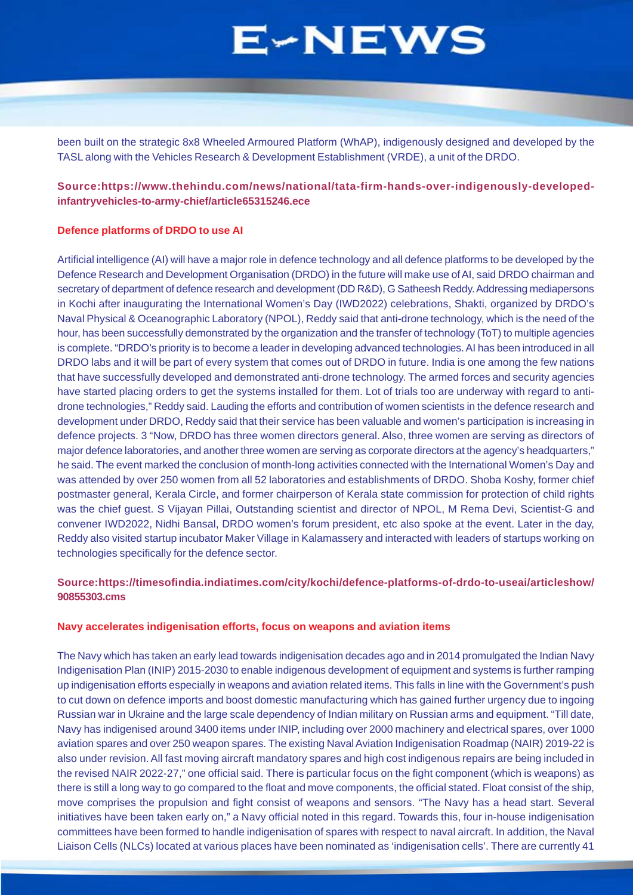been built on the strategic 8x8 Wheeled Armoured Platform (WhAP), indigenously designed and developed by the TASL along with the Vehicles Research & Development Establishment (VRDE), a unit of the DRDO.

## **Source:https://www.thehindu.com/news/national/tata-firm-hands-over-indigenously-developedinfantryvehicles-to-army-chief/article65315246.ece**

#### **Defence platforms of DRDO to use AI**

Artificial intelligence (AI) will have a major role in defence technology and all defence platforms to be developed by the Defence Research and Development Organisation (DRDO) in the future will make use of AI, said DRDO chairman and secretary of department of defence research and development (DD R&D), G Satheesh Reddy. Addressing mediapersons in Kochi after inaugurating the International Women's Day (IWD2022) celebrations, Shakti, organized by DRDO's Naval Physical & Oceanographic Laboratory (NPOL), Reddy said that anti-drone technology, which is the need of the hour, has been successfully demonstrated by the organization and the transfer of technology (ToT) to multiple agencies is complete. "DRDO's priority is to become a leader in developing advanced technologies. AI has been introduced in all DRDO labs and it will be part of every system that comes out of DRDO in future. India is one among the few nations that have successfully developed and demonstrated anti-drone technology. The armed forces and security agencies have started placing orders to get the systems installed for them. Lot of trials too are underway with regard to antidrone technologies," Reddy said. Lauding the efforts and contribution of women scientists in the defence research and development under DRDO, Reddy said that their service has been valuable and women's participation is increasing in defence projects. 3 "Now, DRDO has three women directors general. Also, three women are serving as directors of major defence laboratories, and another three women are serving as corporate directors at the agency's headquarters," he said. The event marked the conclusion of month-long activities connected with the International Women's Day and was attended by over 250 women from all 52 laboratories and establishments of DRDO. Shoba Koshy, former chief postmaster general, Kerala Circle, and former chairperson of Kerala state commission for protection of child rights was the chief guest. S Vijayan Pillai, Outstanding scientist and director of NPOL, M Rema Devi, Scientist-G and convener IWD2022, Nidhi Bansal, DRDO women's forum president, etc also spoke at the event. Later in the day, Reddy also visited startup incubator Maker Village in Kalamassery and interacted with leaders of startups working on technologies specifically for the defence sector.

# **Source:https://timesofindia.indiatimes.com/city/kochi/defence-platforms-of-drdo-to-useai/articleshow/ 90855303.cms**

#### **Navy accelerates indigenisation efforts, focus on weapons and aviation items**

The Navy which has taken an early lead towards indigenisation decades ago and in 2014 promulgated the Indian Navy Indigenisation Plan (INIP) 2015-2030 to enable indigenous development of equipment and systems is further ramping up indigenisation efforts especially in weapons and aviation related items. This falls in line with the Government's push to cut down on defence imports and boost domestic manufacturing which has gained further urgency due to ingoing Russian war in Ukraine and the large scale dependency of Indian military on Russian arms and equipment. "Till date, Navy has indigenised around 3400 items under INIP, including over 2000 machinery and electrical spares, over 1000 aviation spares and over 250 weapon spares. The existing Naval Aviation Indigenisation Roadmap (NAIR) 2019-22 is also under revision. All fast moving aircraft mandatory spares and high cost indigenous repairs are being included in the revised NAIR 2022-27," one official said. There is particular focus on the fight component (which is weapons) as there is still a long way to go compared to the float and move components, the official stated. Float consist of the ship, move comprises the propulsion and fight consist of weapons and sensors. "The Navy has a head start. Several initiatives have been taken early on," a Navy official noted in this regard. Towards this, four in-house indigenisation committees have been formed to handle indigenisation of spares with respect to naval aircraft. In addition, the Naval Liaison Cells (NLCs) located at various places have been nominated as 'indigenisation cells'. There are currently 41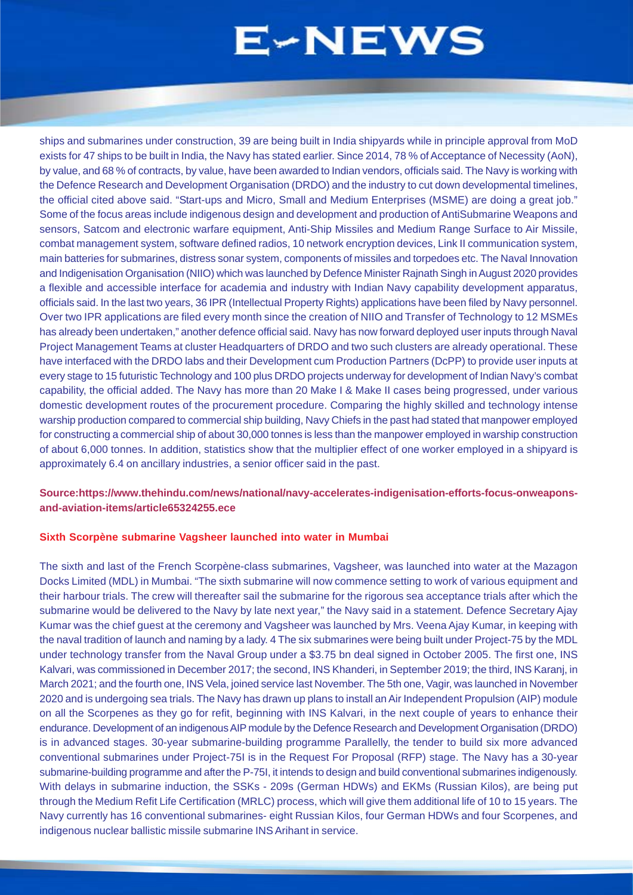ships and submarines under construction, 39 are being built in India shipyards while in principle approval from MoD exists for 47 ships to be built in India, the Navy has stated earlier. Since 2014, 78 % of Acceptance of Necessity (AoN), by value, and 68 % of contracts, by value, have been awarded to Indian vendors, officials said. The Navy is working with the Defence Research and Development Organisation (DRDO) and the industry to cut down developmental timelines, the official cited above said. "Start-ups and Micro, Small and Medium Enterprises (MSME) are doing a great job." Some of the focus areas include indigenous design and development and production of AntiSubmarine Weapons and sensors, Satcom and electronic warfare equipment, Anti-Ship Missiles and Medium Range Surface to Air Missile, combat management system, software defined radios, 10 network encryption devices, Link II communication system, main batteries for submarines, distress sonar system, components of missiles and torpedoes etc. The Naval Innovation and Indigenisation Organisation (NIIO) which was launched by Defence Minister Rajnath Singh in August 2020 provides a flexible and accessible interface for academia and industry with Indian Navy capability development apparatus, officials said. In the last two years, 36 IPR (Intellectual Property Rights) applications have been filed by Navy personnel. Over two IPR applications are filed every month since the creation of NIIO and Transfer of Technology to 12 MSMEs has already been undertaken," another defence official said. Navy has now forward deployed user inputs through Naval Project Management Teams at cluster Headquarters of DRDO and two such clusters are already operational. These have interfaced with the DRDO labs and their Development cum Production Partners (DcPP) to provide user inputs at every stage to 15 futuristic Technology and 100 plus DRDO projects underway for development of Indian Navy's combat capability, the official added. The Navy has more than 20 Make I & Make II cases being progressed, under various domestic development routes of the procurement procedure. Comparing the highly skilled and technology intense warship production compared to commercial ship building, Navy Chiefs in the past had stated that manpower employed for constructing a commercial ship of about 30,000 tonnes is less than the manpower employed in warship construction of about 6,000 tonnes. In addition, statistics show that the multiplier effect of one worker employed in a shipyard is approximately 6.4 on ancillary industries, a senior officer said in the past.

### **Source:https://www.thehindu.com/news/national/navy-accelerates-indigenisation-efforts-focus-onweaponsand-aviation-items/article65324255.ece**

#### **Sixth Scorpène submarine Vagsheer launched into water in Mumbai**

The sixth and last of the French Scorpène-class submarines, Vagsheer, was launched into water at the Mazagon Docks Limited (MDL) in Mumbai. "The sixth submarine will now commence setting to work of various equipment and their harbour trials. The crew will thereafter sail the submarine for the rigorous sea acceptance trials after which the submarine would be delivered to the Navy by late next year," the Navy said in a statement. Defence Secretary Ajay Kumar was the chief guest at the ceremony and Vagsheer was launched by Mrs. Veena Ajay Kumar, in keeping with the naval tradition of launch and naming by a lady. 4 The six submarines were being built under Project-75 by the MDL under technology transfer from the Naval Group under a \$3.75 bn deal signed in October 2005. The first one, INS Kalvari, was commissioned in December 2017; the second, INS Khanderi, in September 2019; the third, INS Karanj, in March 2021; and the fourth one, INS Vela, joined service last November. The 5th one, Vagir, was launched in November 2020 and is undergoing sea trials. The Navy has drawn up plans to install an Air Independent Propulsion (AIP) module on all the Scorpenes as they go for refit, beginning with INS Kalvari, in the next couple of years to enhance their endurance. Development of an indigenous AIP module by the Defence Research and Development Organisation (DRDO) is in advanced stages. 30-year submarine-building programme Parallelly, the tender to build six more advanced conventional submarines under Project-75I is in the Request For Proposal (RFP) stage. The Navy has a 30-year submarine-building programme and after the P-75I, it intends to design and build conventional submarines indigenously. With delays in submarine induction, the SSKs - 209s (German HDWs) and EKMs (Russian Kilos), are being put through the Medium Refit Life Certification (MRLC) process, which will give them additional life of 10 to 15 years. The Navy currently has 16 conventional submarines- eight Russian Kilos, four German HDWs and four Scorpenes, and indigenous nuclear ballistic missile submarine INS Arihant in service.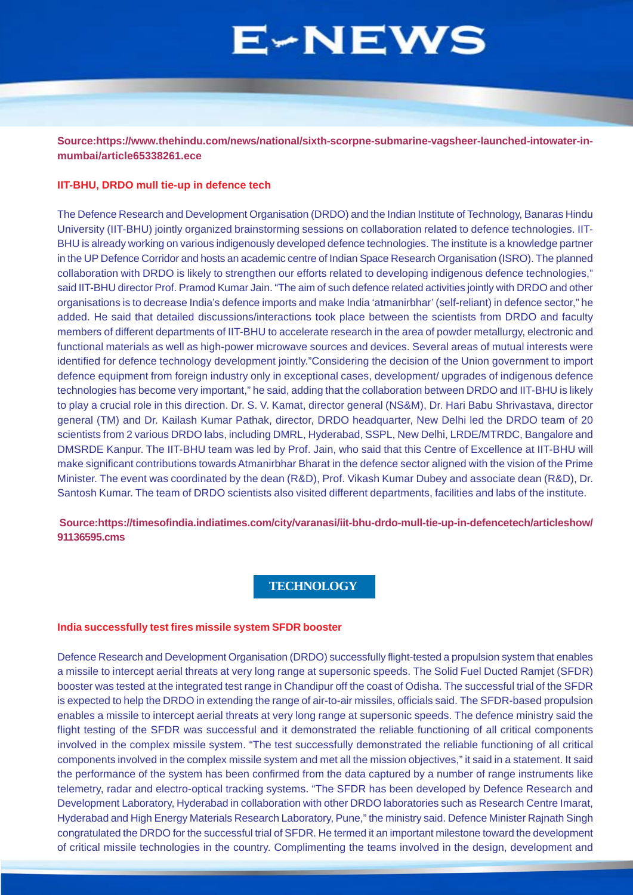<span id="page-6-0"></span>**Source:https://www.thehindu.com/news/national/sixth-scorpne-submarine-vagsheer-launched-intowater-inmumbai/article65338261.ece**

#### **IIT-BHU, DRDO mull tie-up in defence tech**

The Defence Research and Development Organisation (DRDO) and the Indian Institute of Technology, Banaras Hindu University (IIT-BHU) jointly organized brainstorming sessions on collaboration related to defence technologies. IIT-BHU is already working on various indigenously developed defence technologies. The institute is a knowledge partner in the UP Defence Corridor and hosts an academic centre of Indian Space Research Organisation (ISRO). The planned collaboration with DRDO is likely to strengthen our efforts related to developing indigenous defence technologies," said IIT-BHU director Prof. Pramod Kumar Jain. "The aim of such defence related activities jointly with DRDO and other organisations is to decrease India's defence imports and make India 'atmanirbhar' (self-reliant) in defence sector," he added. He said that detailed discussions/interactions took place between the scientists from DRDO and faculty members of different departments of IIT-BHU to accelerate research in the area of powder metallurgy, electronic and functional materials as well as high-power microwave sources and devices. Several areas of mutual interests were identified for defence technology development jointly."Considering the decision of the Union government to import defence equipment from foreign industry only in exceptional cases, development/ upgrades of indigenous defence technologies has become very important," he said, adding that the collaboration between DRDO and IIT-BHU is likely to play a crucial role in this direction. Dr. S. V. Kamat, director general (NS&M), Dr. Hari Babu Shrivastava, director general (TM) and Dr. Kailash Kumar Pathak, director, DRDO headquarter, New Delhi led the DRDO team of 20 scientists from 2 various DRDO labs, including DMRL, Hyderabad, SSPL, New Delhi, LRDE/MTRDC, Bangalore and DMSRDE Kanpur. The IIT-BHU team was led by Prof. Jain, who said that this Centre of Excellence at IIT-BHU will make significant contributions towards Atmanirbhar Bharat in the defence sector aligned with the vision of the Prime Minister. The event was coordinated by the dean (R&D), Prof. Vikash Kumar Dubey and associate dean (R&D), Dr. Santosh Kumar. The team of DRDO scientists also visited different departments, facilities and labs of the institute.

 **Source:https://timesofindia.indiatimes.com/city/varanasi/iit-bhu-drdo-mull-tie-up-in-defencetech/articleshow/ 91136595.cms**

### **TECHNOLOGY**

#### **India successfully test fires missile system SFDR booster**

Defence Research and Development Organisation (DRDO) successfully flight-tested a propulsion system that enables a missile to intercept aerial threats at very long range at supersonic speeds. The Solid Fuel Ducted Ramjet (SFDR) booster was tested at the integrated test range in Chandipur off the coast of Odisha. The successful trial of the SFDR is expected to help the DRDO in extending the range of air-to-air missiles, officials said. The SFDR-based propulsion enables a missile to intercept aerial threats at very long range at supersonic speeds. The defence ministry said the flight testing of the SFDR was successful and it demonstrated the reliable functioning of all critical components involved in the complex missile system. "The test successfully demonstrated the reliable functioning of all critical components involved in the complex missile system and met all the mission objectives," it said in a statement. It said the performance of the system has been confirmed from the data captured by a number of range instruments like telemetry, radar and electro-optical tracking systems. "The SFDR has been developed by Defence Research and Development Laboratory, Hyderabad in collaboration with other DRDO laboratories such as Research Centre Imarat, Hyderabad and High Energy Materials Research Laboratory, Pune," the ministry said. Defence Minister Rajnath Singh congratulated the DRDO for the successful trial of SFDR. He termed it an important milestone toward the development of critical missile technologies in the country. Complimenting the teams involved in the design, development and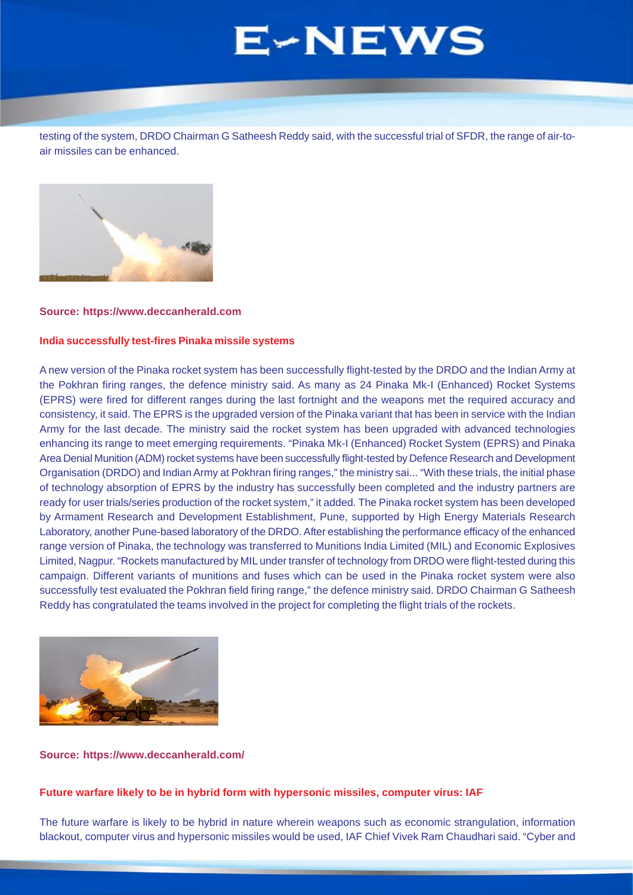<span id="page-7-0"></span>testing of the system, DRDO Chairman G Satheesh Reddy said, with the successful trial of SFDR, the range of air-toair missiles can be enhanced.



#### **Source: https://www.deccanherald.com**

#### **India successfully test-fires Pinaka missile systems**

A new version of the Pinaka rocket system has been successfully flight-tested by the DRDO and the Indian Army at the Pokhran firing ranges, the defence ministry said. As many as 24 Pinaka Mk-I (Enhanced) Rocket Systems (EPRS) were fired for different ranges during the last fortnight and the weapons met the required accuracy and consistency, it said. The EPRS is the upgraded version of the Pinaka variant that has been in service with the Indian Army for the last decade. The ministry said the rocket system has been upgraded with advanced technologies enhancing its range to meet emerging requirements. "Pinaka Mk-I (Enhanced) Rocket System (EPRS) and Pinaka Area Denial Munition (ADM) rocket systems have been successfully flight-tested by Defence Research and Development Organisation (DRDO) and Indian Army at Pokhran firing ranges," the ministry sai... "With these trials, the initial phase of technology absorption of EPRS by the industry has successfully been completed and the industry partners are ready for user trials/series production of the rocket system," it added. The Pinaka rocket system has been developed by Armament Research and Development Establishment, Pune, supported by High Energy Materials Research Laboratory, another Pune-based laboratory of the DRDO. After establishing the performance efficacy of the enhanced range version of Pinaka, the technology was transferred to Munitions India Limited (MIL) and Economic Explosives Limited, Nagpur. "Rockets manufactured by MIL under transfer of technology from DRDO were flight-tested during this campaign. Different variants of munitions and fuses which can be used in the Pinaka rocket system were also successfully test evaluated the Pokhran field firing range," the defence ministry said. DRDO Chairman G Satheesh Reddy has congratulated the teams involved in the project for completing the flight trials of the rockets.



#### **Source: https://www.deccanherald.com/**

# **Future warfare likely to be in hybrid form with hypersonic missiles, computer virus: IAF**

The future warfare is likely to be hybrid in nature wherein weapons such as economic strangulation, information blackout, computer virus and hypersonic missiles would be used, IAF Chief Vivek Ram Chaudhari said. "Cyber and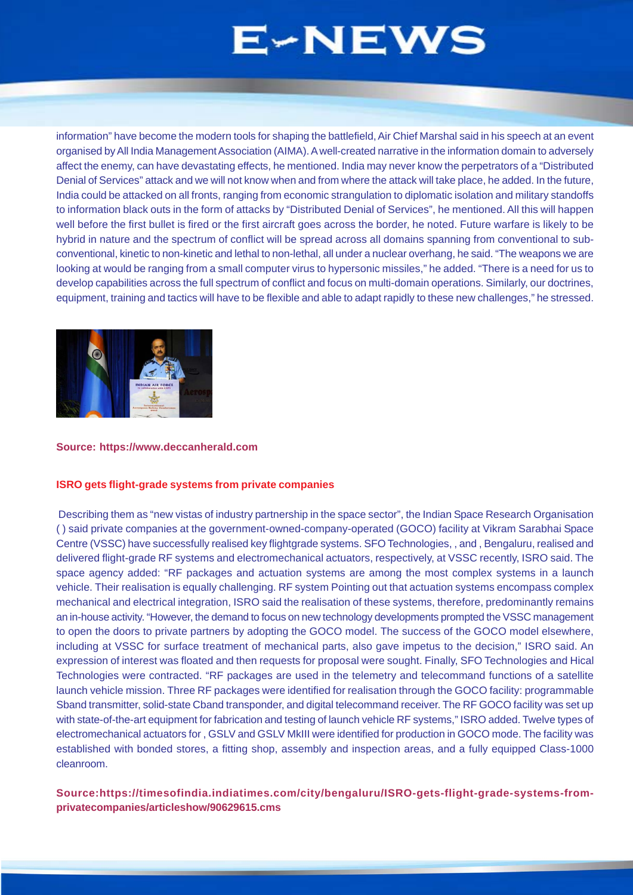information" have become the modern tools for shaping the battlefield, Air Chief Marshal said in his speech at an event organised by All India Management Association (AIMA). A well-created narrative in the information domain to adversely affect the enemy, can have devastating effects, he mentioned. India may never know the perpetrators of a "Distributed Denial of Services" attack and we will not know when and from where the attack will take place, he added. In the future, India could be attacked on all fronts, ranging from economic strangulation to diplomatic isolation and military standoffs to information black outs in the form of attacks by "Distributed Denial of Services", he mentioned. All this will happen well before the first bullet is fired or the first aircraft goes across the border, he noted. Future warfare is likely to be hybrid in nature and the spectrum of conflict will be spread across all domains spanning from conventional to subconventional, kinetic to non-kinetic and lethal to non-lethal, all under a nuclear overhang, he said. "The weapons we are looking at would be ranging from a small computer virus to hypersonic missiles," he added. "There is a need for us to develop capabilities across the full spectrum of conflict and focus on multi-domain operations. Similarly, our doctrines, equipment, training and tactics will have to be flexible and able to adapt rapidly to these new challenges," he stressed.



#### **Source: https://www.deccanherald.com**

#### **ISRO gets flight-grade systems from private companies**

 Describing them as "new vistas of industry partnership in the space sector", the Indian Space Research Organisation ( ) said private companies at the government-owned-company-operated (GOCO) facility at Vikram Sarabhai Space Centre (VSSC) have successfully realised key flightgrade systems. SFO Technologies, , and , Bengaluru, realised and delivered flight-grade RF systems and electromechanical actuators, respectively, at VSSC recently, ISRO said. The space agency added: "RF packages and actuation systems are among the most complex systems in a launch vehicle. Their realisation is equally challenging. RF system Pointing out that actuation systems encompass complex mechanical and electrical integration, ISRO said the realisation of these systems, therefore, predominantly remains an in-house activity. "However, the demand to focus on new technology developments prompted the VSSC management to open the doors to private partners by adopting the GOCO model. The success of the GOCO model elsewhere, including at VSSC for surface treatment of mechanical parts, also gave impetus to the decision," ISRO said. An expression of interest was floated and then requests for proposal were sought. Finally, SFO Technologies and Hical Technologies were contracted. "RF packages are used in the telemetry and telecommand functions of a satellite launch vehicle mission. Three RF packages were identified for realisation through the GOCO facility: programmable Sband transmitter, solid-state Cband transponder, and digital telecommand receiver. The RF GOCO facility was set up with state-of-the-art equipment for fabrication and testing of launch vehicle RF systems," ISRO added. Twelve types of electromechanical actuators for , GSLV and GSLV MkIII were identified for production in GOCO mode. The facility was established with bonded stores, a fitting shop, assembly and inspection areas, and a fully equipped Class-1000 cleanroom.

**Source:https://timesofindia.indiatimes.com/city/bengaluru/ISRO-gets-flight-grade-systems-fromprivatecompanies/articleshow/90629615.cms**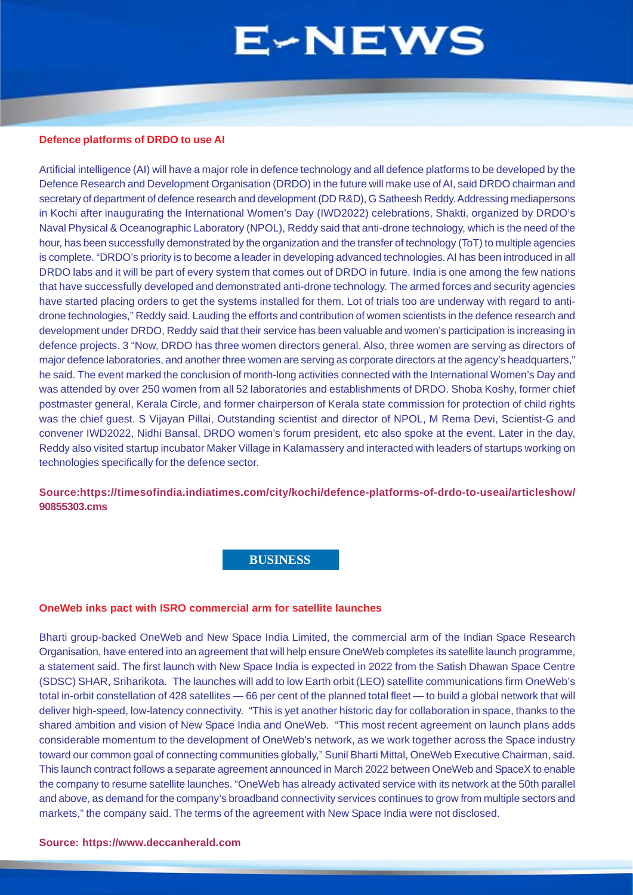#### <span id="page-9-0"></span>**Defence platforms of DRDO to use AI**

Artificial intelligence (AI) will have a major role in defence technology and all defence platforms to be developed by the Defence Research and Development Organisation (DRDO) in the future will make use of AI, said DRDO chairman and secretary of department of defence research and development (DD R&D), G Satheesh Reddy. Addressing mediapersons in Kochi after inaugurating the International Women's Day (IWD2022) celebrations, Shakti, organized by DRDO's Naval Physical & Oceanographic Laboratory (NPOL), Reddy said that anti-drone technology, which is the need of the hour, has been successfully demonstrated by the organization and the transfer of technology (ToT) to multiple agencies is complete. "DRDO's priority is to become a leader in developing advanced technologies. AI has been introduced in all DRDO labs and it will be part of every system that comes out of DRDO in future. India is one among the few nations that have successfully developed and demonstrated anti-drone technology. The armed forces and security agencies have started placing orders to get the systems installed for them. Lot of trials too are underway with regard to antidrone technologies," Reddy said. Lauding the efforts and contribution of women scientists in the defence research and development under DRDO, Reddy said that their service has been valuable and women's participation is increasing in defence projects. 3 "Now, DRDO has three women directors general. Also, three women are serving as directors of major defence laboratories, and another three women are serving as corporate directors at the agency's headquarters," he said. The event marked the conclusion of month-long activities connected with the International Women's Day and was attended by over 250 women from all 52 laboratories and establishments of DRDO. Shoba Koshy, former chief postmaster general, Kerala Circle, and former chairperson of Kerala state commission for protection of child rights was the chief guest. S Vijayan Pillai, Outstanding scientist and director of NPOL, M Rema Devi, Scientist-G and convener IWD2022, Nidhi Bansal, DRDO women's forum president, etc also spoke at the event. Later in the day, Reddy also visited startup incubator Maker Village in Kalamassery and interacted with leaders of startups working on technologies specifically for the defence sector.

**Source:https://timesofindia.indiatimes.com/city/kochi/defence-platforms-of-drdo-to-useai/articleshow/ 90855303.cms**

### **BUSINESS**

#### **OneWeb inks pact with ISRO commercial arm for satellite launches**

Bharti group-backed OneWeb and New Space India Limited, the commercial arm of the Indian Space Research Organisation, have entered into an agreement that will help ensure OneWeb completes its satellite launch programme, a statement said. The first launch with New Space India is expected in 2022 from the Satish Dhawan Space Centre (SDSC) SHAR, Sriharikota. The launches will add to low Earth orbit (LEO) satellite communications firm OneWeb's total in-orbit constellation of 428 satellites — 66 per cent of the planned total fleet — to build a global network that will deliver high-speed, low-latency connectivity. "This is yet another historic day for collaboration in space, thanks to the shared ambition and vision of New Space India and OneWeb. "This most recent agreement on launch plans adds considerable momentum to the development of OneWeb's network, as we work together across the Space industry toward our common goal of connecting communities globally," Sunil Bharti Mittal, OneWeb Executive Chairman, said. This launch contract follows a separate agreement announced in March 2022 between OneWeb and SpaceX to enable the company to resume satellite launches. "OneWeb has already activated service with its network at the 50th parallel and above, as demand for the company's broadband connectivity services continues to grow from multiple sectors and markets," the company said. The terms of the agreement with New Space India were not disclosed.

#### **Source: https://www.deccanherald.com**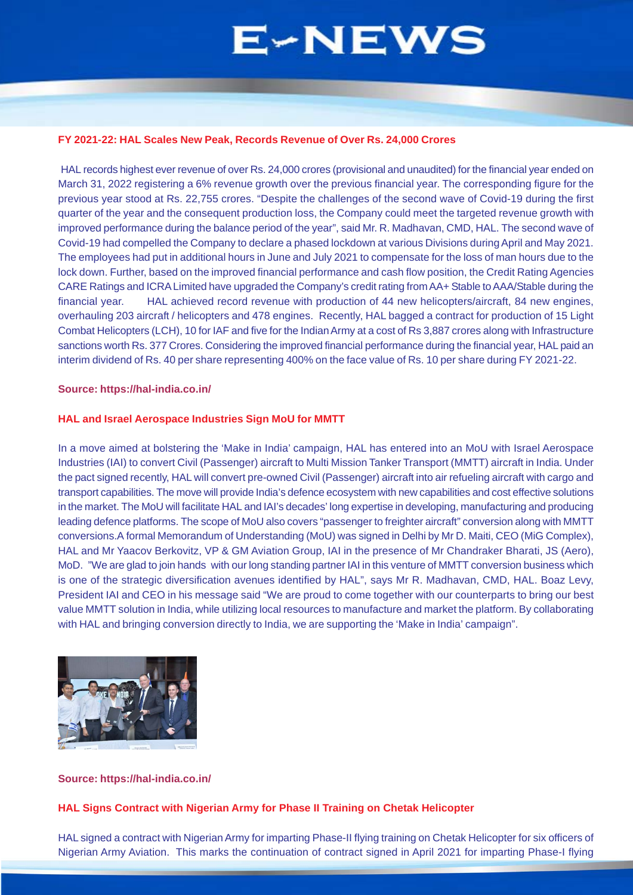#### **FY 2021-22: HAL Scales New Peak, Records Revenue of Over Rs. 24,000 Crores**

 HAL records highest ever revenue of over Rs. 24,000 crores (provisional and unaudited) for the financial year ended on March 31, 2022 registering a 6% revenue growth over the previous financial year. The corresponding figure for the previous year stood at Rs. 22,755 crores. "Despite the challenges of the second wave of Covid-19 during the first quarter of the year and the consequent production loss, the Company could meet the targeted revenue growth with improved performance during the balance period of the year", said Mr. R. Madhavan, CMD, HAL. The second wave of Covid-19 had compelled the Company to declare a phased lockdown at various Divisions during April and May 2021. The employees had put in additional hours in June and July 2021 to compensate for the loss of man hours due to the lock down. Further, based on the improved financial performance and cash flow position, the Credit Rating Agencies CARE Ratings and ICRA Limited have upgraded the Company's credit rating from AA+ Stable to AAA/Stable during the financial year. HAL achieved record revenue with production of 44 new helicopters/aircraft, 84 new engines, overhauling 203 aircraft / helicopters and 478 engines. Recently, HAL bagged a contract for production of 15 Light Combat Helicopters (LCH), 10 for IAF and five for the Indian Army at a cost of Rs 3,887 crores along with Infrastructure sanctions worth Rs. 377 Crores. Considering the improved financial performance during the financial year, HAL paid an interim dividend of Rs. 40 per share representing 400% on the face value of Rs. 10 per share during FY 2021-22.

#### **Source: https://hal-india.co.in/**

#### **HAL and Israel Aerospace Industries Sign MoU for MMTT**

In a move aimed at bolstering the 'Make in India' campaign, HAL has entered into an MoU with Israel Aerospace Industries (IAI) to convert Civil (Passenger) aircraft to Multi Mission Tanker Transport (MMTT) aircraft in India. Under the pact signed recently, HAL will convert pre-owned Civil (Passenger) aircraft into air refueling aircraft with cargo and transport capabilities. The move will provide India's defence ecosystem with new capabilities and cost effective solutions in the market. The MoU will facilitate HAL and IAI's decades' long expertise in developing, manufacturing and producing leading defence platforms. The scope of MoU also covers "passenger to freighter aircraft" conversion along with MMTT conversions.A formal Memorandum of Understanding (MoU) was signed in Delhi by Mr D. Maiti, CEO (MiG Complex), HAL and Mr Yaacov Berkovitz, VP & GM Aviation Group, IAI in the presence of Mr Chandraker Bharati, JS (Aero), MoD. "We are glad to join hands with our long standing partner IAI in this venture of MMTT conversion business which is one of the strategic diversification avenues identified by HAL", says Mr R. Madhavan, CMD, HAL. Boaz Levy, President IAI and CEO in his message said "We are proud to come together with our counterparts to bring our best value MMTT solution in India, while utilizing local resources to manufacture and market the platform. By collaborating with HAL and bringing conversion directly to India, we are supporting the 'Make in India' campaign".



#### **Source: https://hal-india.co.in/**

#### **HAL Signs Contract with Nigerian Army for Phase II Training on Chetak Helicopter**

HAL signed a contract with Nigerian Army for imparting Phase-II flying training on Chetak Helicopter for six officers of Nigerian Army Aviation. This marks the continuation of contract signed in April 2021 for imparting Phase-I flying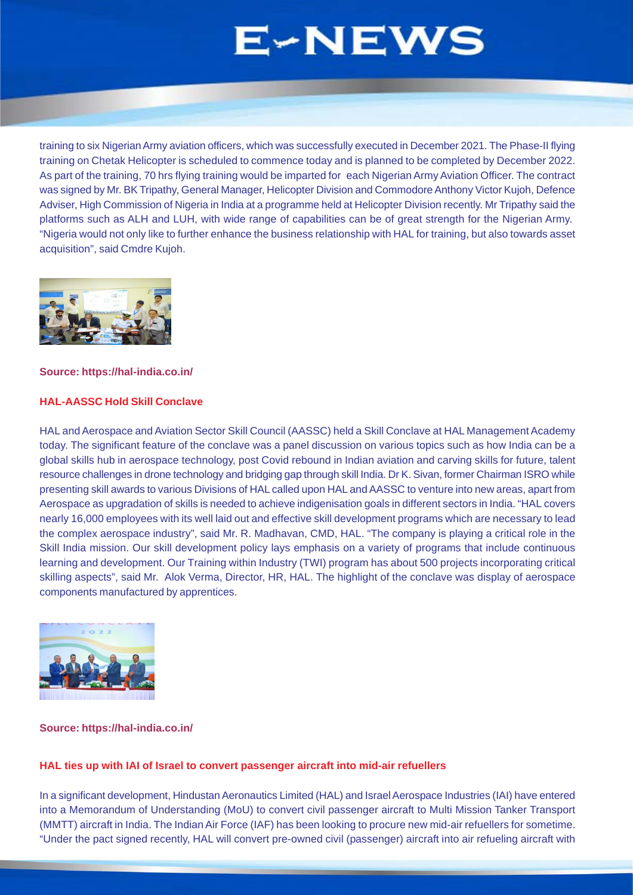training to six Nigerian Army aviation officers, which was successfully executed in December 2021. The Phase-II flying training on Chetak Helicopter is scheduled to commence today and is planned to be completed by December 2022. As part of the training, 70 hrs flying training would be imparted for each Nigerian Army Aviation Officer. The contract was signed by Mr. BK Tripathy, General Manager, Helicopter Division and Commodore Anthony Victor Kujoh, Defence Adviser, High Commission of Nigeria in India at a programme held at Helicopter Division recently. Mr Tripathy said the platforms such as ALH and LUH, with wide range of capabilities can be of great strength for the Nigerian Army. "Nigeria would not only like to further enhance the business relationship with HAL for training, but also towards asset acquisition", said Cmdre Kujoh.



#### **Source: https://hal-india.co.in/**

### **HAL-AASSC Hold Skill Conclave**

HAL and Aerospace and Aviation Sector Skill Council (AASSC) held a Skill Conclave at HAL Management Academy today. The significant feature of the conclave was a panel discussion on various topics such as how India can be a global skills hub in aerospace technology, post Covid rebound in Indian aviation and carving skills for future, talent resource challenges in drone technology and bridging gap through skill India. Dr K. Sivan, former Chairman ISRO while presenting skill awards to various Divisions of HAL called upon HAL and AASSC to venture into new areas, apart from Aerospace as upgradation of skills is needed to achieve indigenisation goals in different sectors in India. "HAL covers nearly 16,000 employees with its well laid out and effective skill development programs which are necessary to lead the complex aerospace industry", said Mr. R. Madhavan, CMD, HAL. "The company is playing a critical role in the Skill India mission. Our skill development policy lays emphasis on a variety of programs that include continuous learning and development. Our Training within Industry (TWI) program has about 500 projects incorporating critical skilling aspects", said Mr. Alok Verma, Director, HR, HAL. The highlight of the conclave was display of aerospace components manufactured by apprentices.



### **Source: https://hal-india.co.in/**

### **HAL ties up with IAI of Israel to convert passenger aircraft into mid-air refuellers**

In a significant development, Hindustan Aeronautics Limited (HAL) and Israel Aerospace Industries (IAI) have entered into a Memorandum of Understanding (MoU) to convert civil passenger aircraft to Multi Mission Tanker Transport (MMTT) aircraft in India. The Indian Air Force (IAF) has been looking to procure new mid-air refuellers for sometime. "Under the pact signed recently, HAL will convert pre-owned civil (passenger) aircraft into air refueling aircraft with